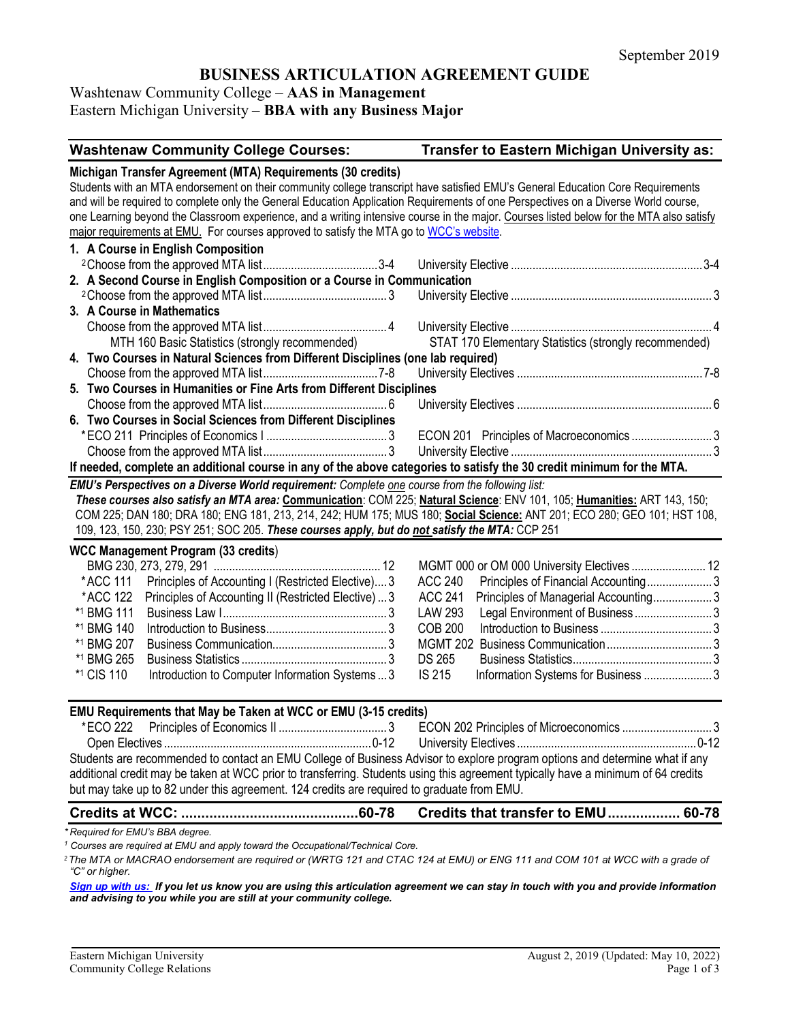# **BUSINESS ARTICULATION AGREEMENT GUIDE**

### Washtenaw Community College – **AAS in Management** Eastern Michigan University – **BBA with any Business Major**

| <b>Washtenaw Community College Courses:</b>                                                                                                                                                                                                                                                                                                            | Transfer to Eastern Michigan University as:             |  |
|--------------------------------------------------------------------------------------------------------------------------------------------------------------------------------------------------------------------------------------------------------------------------------------------------------------------------------------------------------|---------------------------------------------------------|--|
| Michigan Transfer Agreement (MTA) Requirements (30 credits)                                                                                                                                                                                                                                                                                            |                                                         |  |
| Students with an MTA endorsement on their community college transcript have satisfied EMU's General Education Core Requirements                                                                                                                                                                                                                        |                                                         |  |
| and will be required to complete only the General Education Application Requirements of one Perspectives on a Diverse World course,                                                                                                                                                                                                                    |                                                         |  |
| one Learning beyond the Classroom experience, and a writing intensive course in the major. Courses listed below for the MTA also satisfy                                                                                                                                                                                                               |                                                         |  |
| major requirements at EMU. For courses approved to satisfy the MTA go to WCC's website.                                                                                                                                                                                                                                                                |                                                         |  |
| 1. A Course in English Composition                                                                                                                                                                                                                                                                                                                     |                                                         |  |
|                                                                                                                                                                                                                                                                                                                                                        |                                                         |  |
| 2. A Second Course in English Composition or a Course in Communication                                                                                                                                                                                                                                                                                 |                                                         |  |
|                                                                                                                                                                                                                                                                                                                                                        |                                                         |  |
| 3. A Course in Mathematics                                                                                                                                                                                                                                                                                                                             |                                                         |  |
|                                                                                                                                                                                                                                                                                                                                                        |                                                         |  |
| MTH 160 Basic Statistics (strongly recommended)                                                                                                                                                                                                                                                                                                        | STAT 170 Elementary Statistics (strongly recommended)   |  |
| 4. Two Courses in Natural Sciences from Different Disciplines (one lab required)                                                                                                                                                                                                                                                                       |                                                         |  |
|                                                                                                                                                                                                                                                                                                                                                        |                                                         |  |
| 5. Two Courses in Humanities or Fine Arts from Different Disciplines                                                                                                                                                                                                                                                                                   |                                                         |  |
|                                                                                                                                                                                                                                                                                                                                                        |                                                         |  |
| 6. Two Courses in Social Sciences from Different Disciplines                                                                                                                                                                                                                                                                                           |                                                         |  |
|                                                                                                                                                                                                                                                                                                                                                        | ECON 201 Principles of Macroeconomics 3                 |  |
|                                                                                                                                                                                                                                                                                                                                                        |                                                         |  |
| If needed, complete an additional course in any of the above categories to satisfy the 30 credit minimum for the MTA.                                                                                                                                                                                                                                  |                                                         |  |
| These courses also satisfy an MTA area: Communication: COM 225; Natural Science: ENV 101, 105; Humanities: ART 143, 150;<br>COM 225; DAN 180; DRA 180; ENG 181, 213, 214, 242; HUM 175; MUS 180; Social Science: ANT 201; ECO 280; GEO 101; HST 108,<br>109, 123, 150, 230; PSY 251; SOC 205. These courses apply, but do not satisfy the MTA: CCP 251 |                                                         |  |
| <b>WCC Management Program (33 credits)</b>                                                                                                                                                                                                                                                                                                             |                                                         |  |
|                                                                                                                                                                                                                                                                                                                                                        | MGMT 000 or OM 000 University Electives  12             |  |
| *ACC 111<br>Principles of Accounting I (Restricted Elective) 3                                                                                                                                                                                                                                                                                         | <b>ACC 240</b><br>Principles of Financial Accounting3   |  |
| Principles of Accounting II (Restricted Elective)  3<br>*ACC 122                                                                                                                                                                                                                                                                                       | <b>ACC 241</b><br>Principles of Managerial Accounting 3 |  |
| *1 BMG 111                                                                                                                                                                                                                                                                                                                                             | Legal Environment of Business  3<br><b>LAW 293</b>      |  |
| *1 BMG 140                                                                                                                                                                                                                                                                                                                                             | <b>COB 200</b>                                          |  |
| *1 BMG 207                                                                                                                                                                                                                                                                                                                                             |                                                         |  |
| *1 BMG 265                                                                                                                                                                                                                                                                                                                                             | <b>DS 265</b>                                           |  |
| Introduction to Computer Information Systems  3<br>*1 CIS 110                                                                                                                                                                                                                                                                                          | <b>IS 215</b><br>Information Systems for Business  3    |  |
| EMU Requirements that May be Taken at WCC or EMU (3-15 credits)                                                                                                                                                                                                                                                                                        |                                                         |  |
| *ECO 222                                                                                                                                                                                                                                                                                                                                               |                                                         |  |
|                                                                                                                                                                                                                                                                                                                                                        |                                                         |  |
| Students are recommended to contact an EMU College of Business Advisor to explore program options and determine what if any                                                                                                                                                                                                                            |                                                         |  |
| additional credit may be taken at WCC prior to transferring. Students using this agreement typically have a minimum of 64 credits                                                                                                                                                                                                                      |                                                         |  |
| but may take up to 82 under this agreement. 124 credits are required to graduate from EMU.                                                                                                                                                                                                                                                             |                                                         |  |
|                                                                                                                                                                                                                                                                                                                                                        | Credits that transfer to EMU 60-78                      |  |
| *Required for EMU's BBA degree.                                                                                                                                                                                                                                                                                                                        |                                                         |  |
| Courses are required at EMU and apply toward the Occupational/Technical Core.                                                                                                                                                                                                                                                                          |                                                         |  |

*<sup>2</sup>The MTA or MACRAO endorsement are required or (WRTG 121 and CTAC 124 at EMU) or ENG 111 and COM 101 at WCC with a grade of "C" or higher.*

*[Sign up with us:](https://www.emich.edu/ccr/articulation-agreements/signup.php) If you let us know you are using this articulation agreement we can stay in touch with you and provide information and advising to you while you are still at your community college.*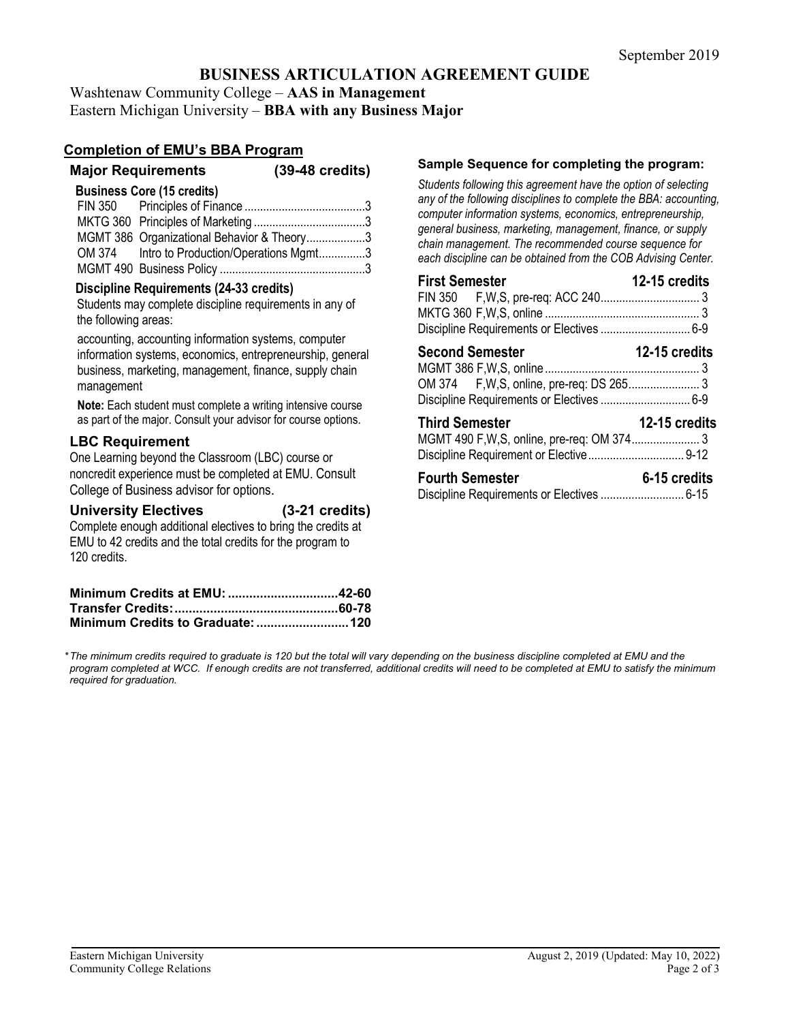### **BUSINESS ARTICULATION AGREEMENT GUIDE**

Washtenaw Community College – **AAS in Management** Eastern Michigan University – **BBA with any Business Major**

### **Completion of EMU's BBA Program**

| <b>Major Requirements</b> | $(39-48 \text{ credits})$ |
|---------------------------|---------------------------|
|---------------------------|---------------------------|

#### **Business Core (15 credits)**

| MGMT 386 Organizational Behavior & Theory3  |  |
|---------------------------------------------|--|
| OM 374 Intro to Production/Operations Mgmt3 |  |
|                                             |  |

#### **Discipline Requirements (24-33 credits)**

Students may complete discipline requirements in any of the following areas:

accounting, accounting information systems, computer information systems, economics, entrepreneurship, general business, marketing, management, finance, supply chain management

**Note:** Each student must complete a writing intensive course as part of the major. Consult your advisor for course options.

#### **LBC Requirement**

One Learning beyond the Classroom (LBC) course or noncredit experience must be completed at EMU. Consult College of Business advisor for options.

| <b>University Electives</b> | $(3-21$ credits) |
|-----------------------------|------------------|
|                             |                  |

Complete enough additional electives to bring the credits at EMU to 42 credits and the total credits for the program to 120 credits.

#### **Sample Sequence for completing the program:**

*Students following this agreement have the option of selecting any of the following disciplines to complete the BBA: accounting, computer information systems, economics, entrepreneurship, general business, marketing, management, finance, or supply chain management. The recommended course sequence for each discipline can be obtained from the COB Advising Center.* 

| <b>First Semester</b>  | 12-15 credits |
|------------------------|---------------|
|                        |               |
|                        |               |
|                        |               |
| <b>Second Semester</b> | 12-15 credits |
|                        |               |
|                        |               |
|                        |               |
| <b>Third Semester</b>  | 12-15 credits |
|                        |               |
|                        |               |

| <b>Fourth Semester</b> | 6-15 credits |
|------------------------|--------------|
|                        |              |

*\*The minimum credits required to graduate is 120 but the total will vary depending on the business discipline completed at EMU and the program completed at WCC. If enough credits are not transferred, additional credits will need to be completed at EMU to satisfy the minimum required for graduation.*